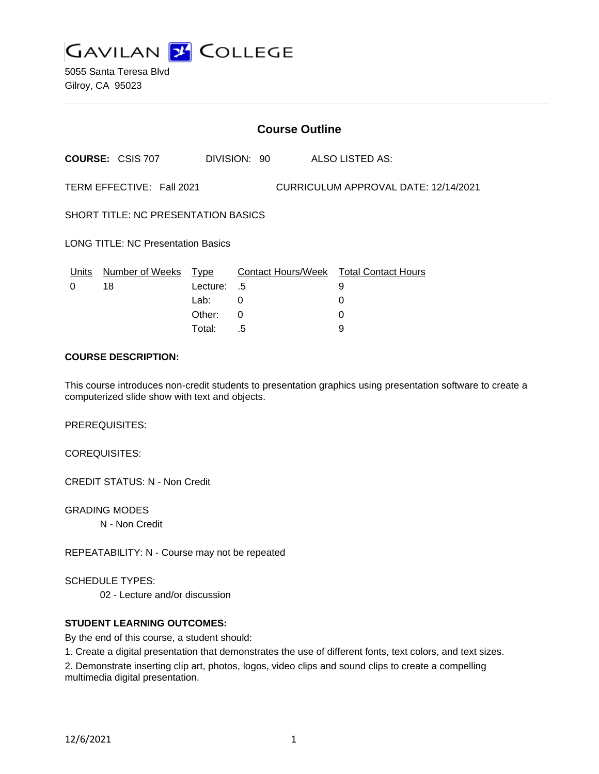

5055 Santa Teresa Blvd Gilroy, CA 95023

| <b>Course Outline</b>                                             |                         |          |              |  |                                        |
|-------------------------------------------------------------------|-------------------------|----------|--------------|--|----------------------------------------|
|                                                                   | <b>COURSE: CSIS 707</b> |          | DIVISION: 90 |  | ALSO LISTED AS:                        |
| TERM EFFECTIVE: Fall 2021<br>CURRICULUM APPROVAL DATE: 12/14/2021 |                         |          |              |  |                                        |
| <b>SHORT TITLE: NC PRESENTATION BASICS</b>                        |                         |          |              |  |                                        |
| <b>LONG TITLE: NC Presentation Basics</b>                         |                         |          |              |  |                                        |
| Units                                                             | Number of Weeks         | Type     |              |  | Contact Hours/Week Total Contact Hours |
| 0                                                                 | 18                      | Lecture: | .5           |  | 9                                      |
|                                                                   |                         | Lab:     | $\Omega$     |  | 0                                      |
|                                                                   |                         | Other:   | $\Omega$     |  | 0                                      |
|                                                                   |                         | Total:   | .5           |  | 9                                      |

### **COURSE DESCRIPTION:**

This course introduces non-credit students to presentation graphics using presentation software to create a computerized slide show with text and objects.

PREREQUISITES:

COREQUISITES:

CREDIT STATUS: N - Non Credit

GRADING MODES N - Non Credit

REPEATABILITY: N - Course may not be repeated

SCHEDULE TYPES:

02 - Lecture and/or discussion

### **STUDENT LEARNING OUTCOMES:**

By the end of this course, a student should:

1. Create a digital presentation that demonstrates the use of different fonts, text colors, and text sizes.

2. Demonstrate inserting clip art, photos, logos, video clips and sound clips to create a compelling multimedia digital presentation.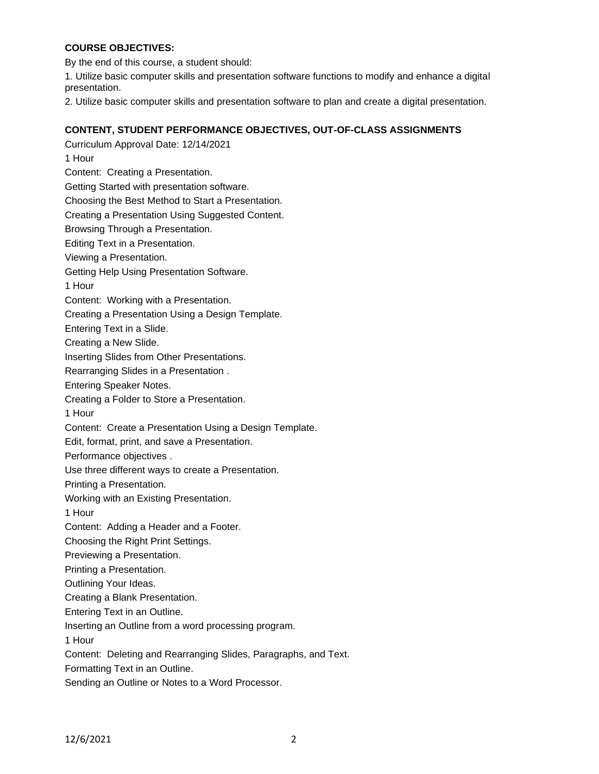## **COURSE OBJECTIVES:**

By the end of this course, a student should:

1. Utilize basic computer skills and presentation software functions to modify and enhance a digital presentation.

2. Utilize basic computer skills and presentation software to plan and create a digital presentation.

## **CONTENT, STUDENT PERFORMANCE OBJECTIVES, OUT-OF-CLASS ASSIGNMENTS**

Curriculum Approval Date: 12/14/2021 1 Hour Content: Creating a Presentation. Getting Started with presentation software. Choosing the Best Method to Start a Presentation. Creating a Presentation Using Suggested Content. Browsing Through a Presentation. Editing Text in a Presentation. Viewing a Presentation. Getting Help Using Presentation Software. 1 Hour Content: Working with a Presentation. Creating a Presentation Using a Design Template. Entering Text in a Slide. Creating a New Slide. Inserting Slides from Other Presentations. Rearranging Slides in a Presentation . Entering Speaker Notes. Creating a Folder to Store a Presentation. 1 Hour Content: Create a Presentation Using a Design Template. Edit, format, print, and save a Presentation. Performance objectives . Use three different ways to create a Presentation. Printing a Presentation. Working with an Existing Presentation. 1 Hour Content: Adding a Header and a Footer. Choosing the Right Print Settings. Previewing a Presentation. Printing a Presentation. Outlining Your Ideas. Creating a Blank Presentation. Entering Text in an Outline. Inserting an Outline from a word processing program. 1 Hour Content: Deleting and Rearranging Slides, Paragraphs, and Text. Formatting Text in an Outline. Sending an Outline or Notes to a Word Processor.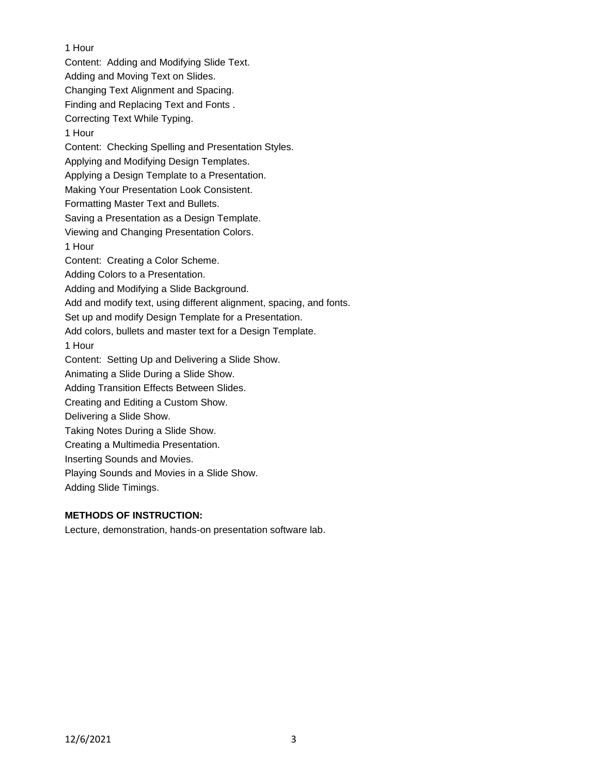1 Hour Content: Adding and Modifying Slide Text. Adding and Moving Text on Slides. Changing Text Alignment and Spacing. Finding and Replacing Text and Fonts . Correcting Text While Typing. 1 Hour Content: Checking Spelling and Presentation Styles. Applying and Modifying Design Templates. Applying a Design Template to a Presentation. Making Your Presentation Look Consistent. Formatting Master Text and Bullets. Saving a Presentation as a Design Template. Viewing and Changing Presentation Colors. 1 Hour Content: Creating a Color Scheme. Adding Colors to a Presentation. Adding and Modifying a Slide Background. Add and modify text, using different alignment, spacing, and fonts. Set up and modify Design Template for a Presentation. Add colors, bullets and master text for a Design Template. 1 Hour Content: Setting Up and Delivering a Slide Show. Animating a Slide During a Slide Show. Adding Transition Effects Between Slides. Creating and Editing a Custom Show. Delivering a Slide Show. Taking Notes During a Slide Show. Creating a Multimedia Presentation. Inserting Sounds and Movies. Playing Sounds and Movies in a Slide Show. Adding Slide Timings.

# **METHODS OF INSTRUCTION:**

Lecture, demonstration, hands-on presentation software lab.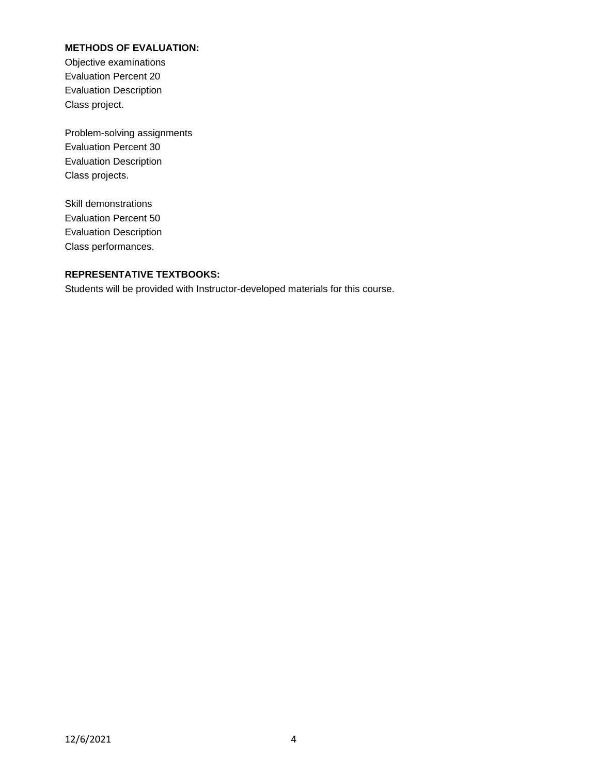## **METHODS OF EVALUATION:**

Objective examinations Evaluation Percent 20 Evaluation Description Class project.

Problem-solving assignments Evaluation Percent 30 Evaluation Description Class projects.

Skill demonstrations Evaluation Percent 50 Evaluation Description Class performances.

# **REPRESENTATIVE TEXTBOOKS:**

Students will be provided with Instructor-developed materials for this course.